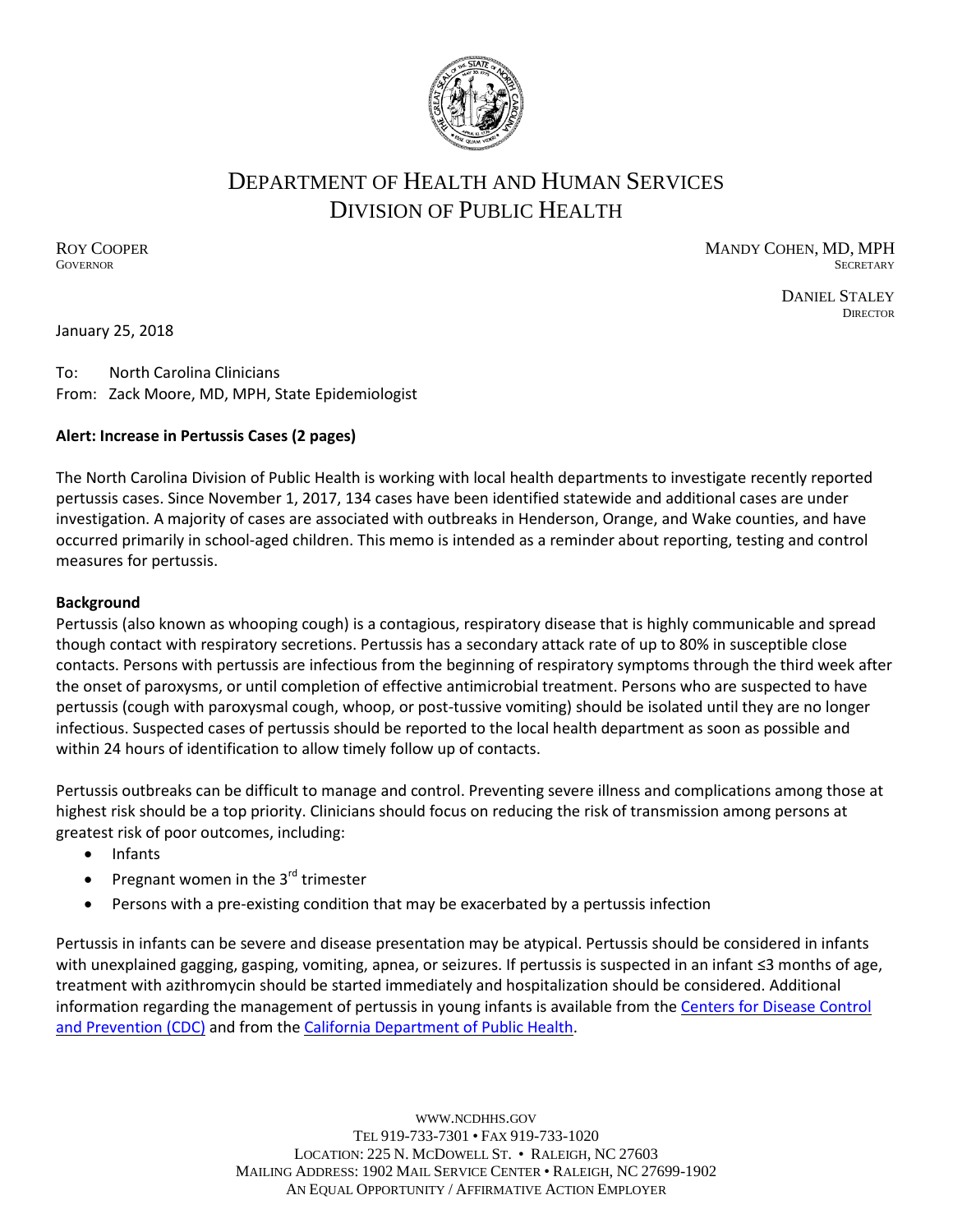

# DEPARTMENT OF HEALTH AND HUMAN SERVICES DIVISION OF PUBLIC HEALTH

ROY COOPER **MANDY COHEN, MD, MPH GOVERNOR** SECRETARY SECRETARY

> DANIEL STALEY **DIRECTOR**

January 25, 2018

To: North Carolina Clinicians From: Zack Moore, MD, MPH, State Epidemiologist

# **Alert: Increase in Pertussis Cases (2 pages)**

The North Carolina Division of Public Health is working with local health departments to investigate recently reported pertussis cases. Since November 1, 2017, 134 cases have been identified statewide and additional cases are under investigation. A majority of cases are associated with outbreaks in Henderson, Orange, and Wake counties, and have occurred primarily in school-aged children. This memo is intended as a reminder about reporting, testing and control measures for pertussis.

### **Background**

Pertussis (also known as whooping cough) is a contagious, respiratory disease that is highly communicable and spread though contact with respiratory secretions. Pertussis has a secondary attack rate of up to 80% in susceptible close contacts. Persons with pertussis are infectious from the beginning of respiratory symptoms through the third week after the onset of paroxysms, or until completion of effective antimicrobial treatment. Persons who are suspected to have pertussis (cough with paroxysmal cough, whoop, or post-tussive vomiting) should be isolated until they are no longer infectious. Suspected cases of pertussis should be reported to the local health department as soon as possible and within 24 hours of identification to allow timely follow up of contacts.

Pertussis outbreaks can be difficult to manage and control. Preventing severe illness and complications among those at highest risk should be a top priority. Clinicians should focus on reducing the risk of transmission among persons at greatest risk of poor outcomes, including:

- Infants
- Pregnant women in the  $3<sup>rd</sup>$  trimester
- Persons with a pre-existing condition that may be exacerbated by a pertussis infection

Pertussis in infants can be severe and disease presentation may be atypical. Pertussis should be considered in infants with unexplained gagging, gasping, vomiting, apnea, or seizures. If pertussis is suspected in an infant ≤3 months of age, treatment with azithromycin should be started immediately and hospitalization should be considered. Additional information regarding the management of pertussis in young infants is available from the [Centers](https://www.cdc.gov/pertussis/clinical/index.html) for Disease Control and [Prevention](https://www.cdc.gov/pertussis/clinical/index.html) (CDC) and from the California [Department](https://www.cdph.ca.gov/Programs/CID/DCDC/CDPH%20Document%20Library/Immunization/Pertussis-Cherry-YoungInfants2011-06-20.pdf) of Public Health.

> WWW.[NCDHHS](http://www.ncdhhs.gov/).GOV TEL 919-733-7301 • FAX 919-733-1020 LOCATION: 225 N. MCDOWELL ST. • RALEIGH, NC 27603 MAILING ADDRESS: 1902 MAIL SERVICE CENTER • RALEIGH, NC 27699-1902 AN EQUAL OPPORTUNITY / AFFIRMATIVE ACTION EMPLOYER